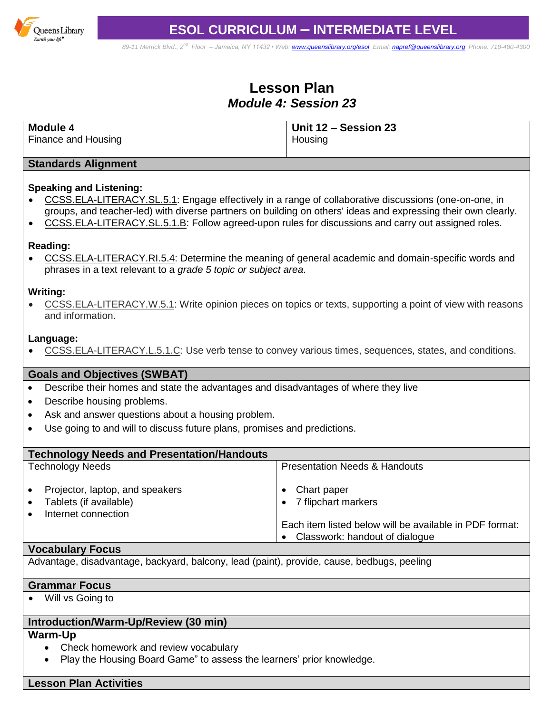

*89-11 Merrick Blvd., 2nd Floor – Jamaica, NY 11432 • Web[: www.queenslibrary.org/esol](http://www.queenslibrary.org/esol) Email: [napref@queenslibrary.org](mailto:napref@queenslibrary.org) Phone: 718-480-4300*

# **Lesson Plan** *Module 4: Session 23*

| Module 4            | Unit 12 - Session 23 |
|---------------------|----------------------|
| Finance and Housing | Housing              |

#### **Standards Alignment**

## **Speaking and Listening:**

- [CCSS.ELA-LITERACY.SL.5.1:](http://www.corestandards.org/ELA-Literacy/SL/5/1/) Engage effectively in a range of collaborative discussions (one-on-one, in groups, and teacher-led) with diverse partners on building on others' ideas and expressing their own clearly.
- [CCSS.ELA-LITERACY.SL.5.1.B:](http://www.corestandards.org/ELA-Literacy/SL/5/1/b/) Follow agreed-upon rules for discussions and carry out assigned roles.

### **Reading:**

 [CCSS.ELA-LITERACY.RI.5.4:](http://www.corestandards.org/ELA-Literacy/RI/5/4/) Determine the meaning of general academic and domain-specific words and phrases in a text relevant to a *grade 5 topic or subject area*.

#### **Writing:**

 [CCSS.ELA-LITERACY.W.5.1:](http://www.corestandards.org/ELA-Literacy/W/5/1/) Write opinion pieces on topics or texts, supporting a point of view with reasons and information.

#### **Language:**

• [CCSS.ELA-LITERACY.L.5.1.C:](http://www.corestandards.org/ELA-Literacy/L/5/1/c/) Use verb tense to convey various times, sequences, states, and conditions.

### **Goals and Objectives (SWBAT)**

- Describe their homes and state the advantages and disadvantages of where they live
- Describe housing problems.
- Ask and answer questions about a housing problem.
- Use going to and will to discuss future plans, promises and predictions.

| <b>Technology Needs and Presentation/Handouts</b>                                                          |                                                                                                                                 |  |  |
|------------------------------------------------------------------------------------------------------------|---------------------------------------------------------------------------------------------------------------------------------|--|--|
| <b>Technology Needs</b>                                                                                    | <b>Presentation Needs &amp; Handouts</b>                                                                                        |  |  |
| Projector, laptop, and speakers<br>$\bullet$<br>Tablets (if available)<br>$\bullet$<br>Internet connection | Chart paper<br>7 flipchart markers<br>Each item listed below will be available in PDF format:<br>Classwork: handout of dialogue |  |  |

### **Vocabulary Focus**

Advantage, disadvantage, backyard, balcony, lead (paint), provide, cause, bedbugs, peeling

#### **Grammar Focus**

Will vs Going to

## **Introduction/Warm-Up/Review (30 min)**

## **Warm-Up**

- Check homework and review vocabulary
- Play the Housing Board Game" to assess the learners' prior knowledge.

## **Lesson Plan Activities**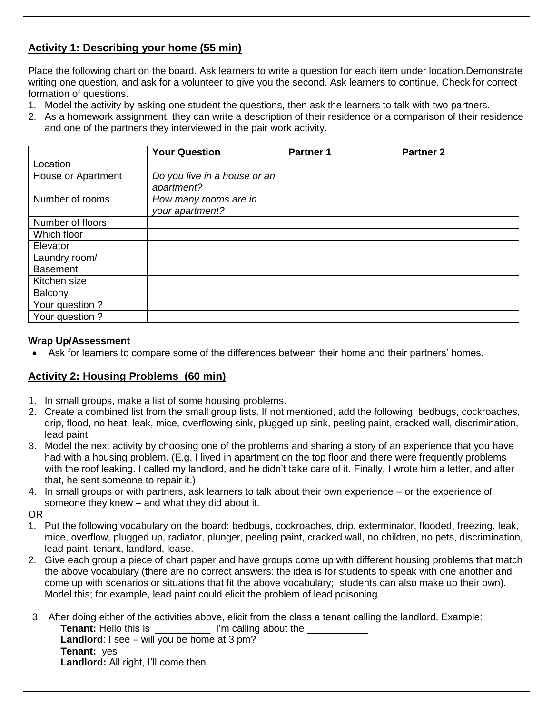# **Activity 1: Describing your home (55 min)**

Place the following chart on the board. Ask learners to write a question for each item under location.Demonstrate writing one question, and ask for a volunteer to give you the second. Ask learners to continue. Check for correct formation of questions.

- 1. Model the activity by asking one student the questions, then ask the learners to talk with two partners.
- 2. As a homework assignment, they can write a description of their residence or a comparison of their residence and one of the partners they interviewed in the pair work activity.

|                    | <b>Your Question</b>                       | <b>Partner 1</b> | <b>Partner 2</b> |
|--------------------|--------------------------------------------|------------------|------------------|
| Location           |                                            |                  |                  |
| House or Apartment | Do you live in a house or an<br>apartment? |                  |                  |
| Number of rooms    | How many rooms are in<br>your apartment?   |                  |                  |
| Number of floors   |                                            |                  |                  |
| Which floor        |                                            |                  |                  |
| Elevator           |                                            |                  |                  |
| Laundry room/      |                                            |                  |                  |
| <b>Basement</b>    |                                            |                  |                  |
| Kitchen size       |                                            |                  |                  |
| Balcony            |                                            |                  |                  |
| Your question ?    |                                            |                  |                  |
| Your question ?    |                                            |                  |                  |

## **Wrap Up/Assessment**

Ask for learners to compare some of the differences between their home and their partners' homes.

## **Activity 2: Housing Problems (60 min)**

- 1. In small groups, make a list of some housing problems.
- 2. Create a combined list from the small group lists. If not mentioned, add the following: bedbugs, cockroaches, drip, flood, no heat, leak, mice, overflowing sink, plugged up sink, peeling paint, cracked wall, discrimination, lead paint.
- 3. Model the next activity by choosing one of the problems and sharing a story of an experience that you have had with a housing problem. (E.g. I lived in apartment on the top floor and there were frequently problems with the roof leaking. I called my landlord, and he didn't take care of it. Finally, I wrote him a letter, and after that, he sent someone to repair it.)
- 4. In small groups or with partners, ask learners to talk about their own experience or the experience of someone they knew – and what they did about it.
- OR
- 1. Put the following vocabulary on the board: bedbugs, cockroaches, drip, exterminator, flooded, freezing, leak, mice, overflow, plugged up, radiator, plunger, peeling paint, cracked wall, no children, no pets, discrimination, lead paint, tenant, landlord, lease.
- 2. Give each group a piece of chart paper and have groups come up with different housing problems that match the above vocabulary (there are no correct answers: the idea is for students to speak with one another and come up with scenarios or situations that fit the above vocabulary; students can also make up their own). Model this; for example, lead paint could elicit the problem of lead poisoning.
- 3. After doing either of the activities above, elicit from the class a tenant calling the landlord. Example: **Tenant:** Hello this is **Tenant:** Hello this is **I'm calling about the <u>Tenant</u> Landlord**: I see – will you be home at 3 pm? **Tenant:** yes **Landlord:** All right, I'll come then.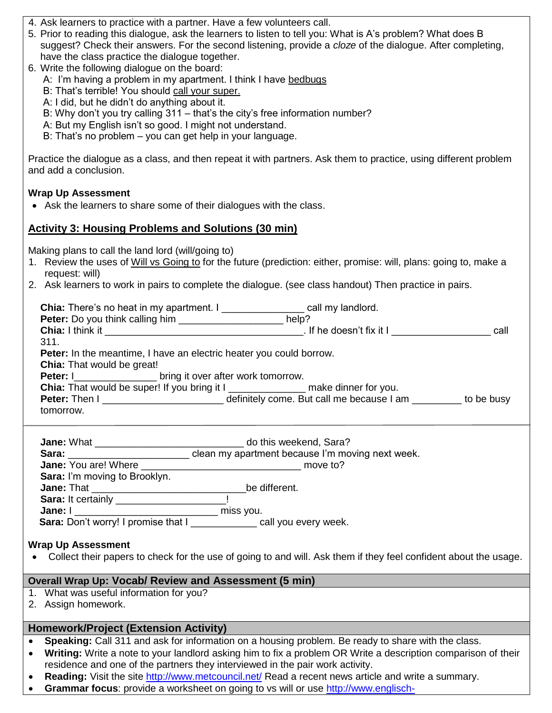- 4. Ask learners to practice with a partner. Have a few volunteers call.
- 5. Prior to reading this dialogue, ask the learners to listen to tell you: What is A's problem? What does B suggest? Check their answers. For the second listening, provide a *cloze* of the dialogue. After completing, have the class practice the dialogue together.
- 6. Write the following dialogue on the board:
	- A: I'm having a problem in my apartment. I think I have bedbugs
	- B: That's terrible! You should call your super.
	- A: I did, but he didn't do anything about it.
	- B: Why don't you try calling 311 that's the city's free information number?
	- A: But my English isn't so good. I might not understand.
	- B: That's no problem you can get help in your language.

Practice the dialogue as a class, and then repeat it with partners. Ask them to practice, using different problem and add a conclusion.

## **Wrap Up Assessment**

Ask the learners to share some of their dialogues with the class.

## **Activity 3: Housing Problems and Solutions (30 min)**

Making plans to call the land lord (will/going to)

- 1. Review the uses of Will vs Going to for the future (prediction: either, promise: will, plans: going to, make a request: will)
- 2. Ask learners to work in pairs to complete the dialogue. (see class handout) Then practice in pairs.

| <b>Chia:</b> There's no heat in my apartment. I                                    | call my landlord.          |            |  |  |
|------------------------------------------------------------------------------------|----------------------------|------------|--|--|
| <b>Peter:</b> Do you think calling him _____________________ help?                 |                            |            |  |  |
| Chia: I think it                                                                   | . If he doesn't fix it $I$ | call       |  |  |
| 311.                                                                               |                            |            |  |  |
| <b>Peter:</b> In the meantime, I have an electric heater you could borrow.         |                            |            |  |  |
| <b>Chia:</b> That would be great!                                                  |                            |            |  |  |
| <b>Peter:</b> I bring it over after work tomorrow.                                 |                            |            |  |  |
| Chia: That would be super! If you bring it I ________________ make dinner for you. |                            |            |  |  |
|                                                                                    |                            | to be busy |  |  |
| tomorrow.                                                                          |                            |            |  |  |
|                                                                                    |                            |            |  |  |

| <b>Jane: What ____________</b>        | do this weekend, Sara?                                   |
|---------------------------------------|----------------------------------------------------------|
| Sara:                                 | clean my apartment because I'm moving next week.         |
|                                       | move to?                                                 |
| Sara: I'm moving to Brooklyn.         |                                                          |
| <b>Jane:</b> That <b>Example 2018</b> | be different.                                            |
| Sara: It certainly _______________    |                                                          |
| Jane: I                               | miss you.                                                |
|                                       | Sara: Don't worry! I promise that I call you every week. |

### **Wrap Up Assessment**

Collect their papers to check for the use of going to and will. Ask them if they feel confident about the usage.

### **Overall Wrap Up: Vocab/ Review and Assessment (5 min)**

- 1. What was useful information for you?
- 2. Assign homework.

## **Homework/Project (Extension Activity)**

- **Speaking:** Call 311 and ask for information on a housing problem. Be ready to share with the class.
- **Writing:** Write a note to your landlord asking him to fix a problem OR Write a description comparison of their residence and one of the partners they interviewed in the pair work activity.
- **Reading:** Visit the site<http://www.metcouncil.net/> Read a recent news article and write a summary.
- **Grammar focus**: provide a worksheet on going to vs will or use [http://www.englisch-](http://www.englisch-hilfen.de/en/exercises/tenses/will_going_to_future.htm)